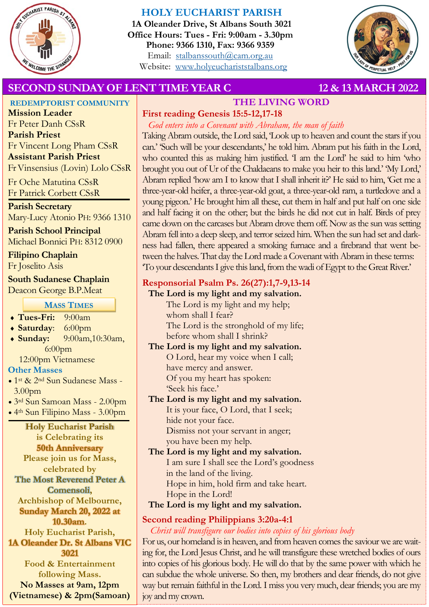

# **HOLY EUCHARIST PARISH**

**1A Oleander Drive, St Albans South 3021 Office Hours: Tues - Fri: 9:00am - 3.30pm Phone: 9366 1310, Fax: 9366 9359** Email: [stalbanssouth@cam.org.au](mailto:stalbanssouth@cam.org.au) Website:[www.holyeuchariststalbans.org](http://www.holyeuchariststalbans.org)



# **SECOND SUNDAY OF LENT TIME YEAR C** 12 & 13 MARCH 2022

**REDEMPTORIST COMMUNITY**

**THE LIVING WORD First reading Genesis 15:5-12,17-18**

**Mission Leader** Fr Peter Danh CSsR **Parish Priest** Fr Vincent Long Pham CSsR **Assistant Parish Priest**  Fr Vinsensius (Lovin) Lolo CSsR

Fr Oche Matutina CSsR Fr Patrick Corbett CSsR

**Parish Secretary** Mary-Lucy Atonio PH: 9366 1310

**Parish School Principal** Michael Bonnici PH: 8312 0900

**Filipino Chaplain** Fr Joselito Asis

# **South Sudanese Chaplain**

Deacon George B.P.Meat

## **MASS TIMES**

- **Tues-Fri:** 9:00am
- **Saturday**: 6:00pm
- **Sunday:** 9:00am,10:30am, 6:00pm

12:00pm Vietnamese

#### **Other Masses**

- 1st & 2nd Sun Sudanese Mass 3.00pm
- 3rd Sun Samoan Mass 2.00pm
- 4th Sun Filipino Mass 3.00pm

# **Holy Eucharist Parish**

**is Celebrating its 50th Anniversary Please join us for Mass, celebrated by The Most Reverend Peter A Comensoli, Archbishop of Melbourne, Sunday March 20, 2022 at 10.30am. Holy Eucharist Parish, 1A Oleander Dr. St Albans VIC 3021 Food & Entertainment following Mass. No Masses at 9am, 12pm (Vietnamese) & 2pm(Samoan)**

*God enters into a Covenant with Abraham, the man of faith* Taking Abram outside, the Lord said, 'Look up to heaven and count the stars if you can.' 'Such will be your descendants,' he told him. Abram put his faith in the Lord, who counted this as making him justified. T am the Lord' he said to him 'who brought you out of Ur of the Chaldaeans to make you heir to this land.' 'My Lord,' Abram replied 'how am I to know that I shall inherit it?' He said to him, 'Get me a three-year-old heifer, a three-year-old goat, a three-year-old ram, a turtledove and a young pigeon.' He brought him all these, cut them in half and put half on one side and half facing it on the other; but the birds he did not cut in half. Birds of prey came down on the carcases but Abram drove them off. Now as the sun was setting Abram fell into a deep sleep, and terror seized him. When the sun had set and darkness had fallen, there appeared a smoking furnace and a firebrand that went between the halves. That day the Lord made a Covenant with Abram in these terms: 'To your descendants I give this land, from the wadi of Egypt to the Great River.'

# **Responsorial Psalm Ps. 26(27):1,7-9,13-14**

**The Lord is my light and my salvation.** The Lord is my light and my help; whom shall I fear? The Lord is the stronghold of my life;

before whom shall I shrink?

**The Lord is my light and my salvation.** O Lord, hear my voice when I call; have mercy and answer. Of you my heart has spoken: 'Seek his face.'

**The Lord is my light and my salvation.** It is your face, O Lord, that I seek; hide not your face.

Dismiss not your servant in anger; you have been my help.

**The Lord is my light and my salvation.** I am sure I shall see the Lord's goodness in the land of the living. Hope in him, hold firm and take heart. Hope in the Lord!

**The Lord is my light and my salvation.**

# **Second reading Philippians 3:20a-4:1**

*Christ will transfigure our bodies into copies of his glorious body*

For us, our homeland is in heaven, and from heaven comes the saviour we are waiting for, the Lord Jesus Christ, and he will transfigure these wretched bodies of ours into copies of his glorious body. He will do that by the same power with which he can subdue the whole universe. So then, my brothers and dear friends, do not give way but remain faithful in the Lord. I miss you very much, dear friends; you are my joy and my crown.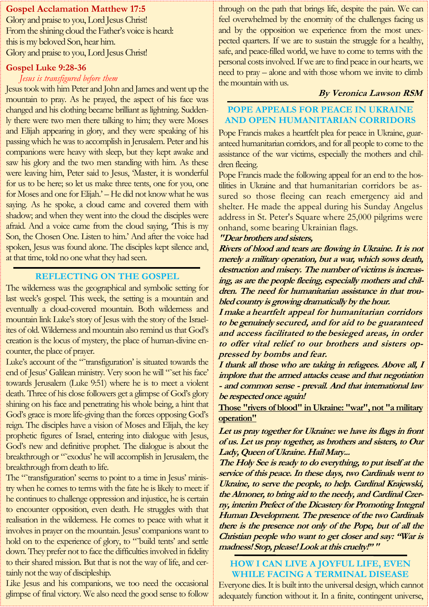#### **Gospel Acclamation Matthew 17:5**

Glory and praise to you, Lord Jesus Christ! From the shining cloud the Father's voice is heard: this is my beloved Son, hear him. Glory and praise to you, Lord Jesus Christ!

#### **Gospel Luke 9:28-36**

#### *Jesus is transfigured before them*

Jesus took with him Peter and John and James and went up the mountain to pray. As he prayed, the aspect of his face was changed and his clothing became brilliant as lightning. Suddenly there were two men there talking to him; they were Moses and Elijah appearing in glory, and they were speaking of his passing which he was to accomplish in Jerusalem. Peter and his companions were heavy with sleep, but they kept awake and saw his glory and the two men standing with him. As these were leaving him, Peter said to Jesus, Master, it is wonderful for us to be here; so let us make three tents, one for you, one for Moses and one for Elijah.' – He did not know what he was saying. As he spoke, a cloud came and covered them with shadow; and when they went into the cloud the disciples were afraid. And a voice came from the cloud saying, 'This is my Son, the Chosen One. Listen to him.' And after the voice had spoken, Jesus was found alone. The disciples kept silence and, at that time, told no one what they had seen.

#### **REFLECTING ON THE GOSPEL**

The wilderness was the geographical and symbolic setting for last week's gospel. This week, the setting is a mountain and eventually a cloud-covered mountain. Both wilderness and mountain link Luke's story of Jesus with the story of the Israelites of old. Wilderness and mountain also remind us that God's creation is the locus of mystery, the place of human-divine encounter, the place of prayer.

Luke's account of the "˜transfiguration' is situated towards the end of Jesus' Galilean ministry. Very soon he will "˜set his face' towards Jerusalem (Luke 9:51) where he is to meet a violent death. Three of his close followers get a glimpse of God's glory shining on his face and penetrating his whole being, a hint that God's grace is more life-giving than the forces opposing God's reign. The disciples have a vision of Moses and Elijah, the key prophetic figures of Israel, entering into dialogue with Jesus, God's new and definitive prophet. The dialogue is about the breakthrough or "˜exodus' he will accomplish in Jerusalem, the breakthrough from death to life.

The "~transfiguration' seems to point to a time in Jesus' ministry when he comes to terms with the fate he is likely to meet: if he continues to challenge oppression and injustice, he is certain to encounter opposition, even death. He struggles with that realisation in the wilderness. He comes to peace with what it involves in prayer on the mountain. Jesus' companions want to hold on to the experience of glory, to "build tents' and settle down. They prefer not to face the difficulties involved in fidelity to their shared mission. But that is not the way of life, and certainly not the way of discipleship.

Like Jesus and his companions, we too need the occasional glimpse of final victory. We also need the good sense to follow

through on the path that brings life, despite the pain. We can feel overwhelmed by the enormity of the challenges facing us and by the opposition we experience from the most unexpected quarters. If we are to sustain the struggle for a healthy, safe, and peace-filled world, we have to come to terms with the personal costs involved. If we are to find peace in our hearts, we need to pray – alone and with those whom we invite to climb the mountain with us.

#### **By Veronica Lawson RSM**

#### **POPE APPEALS FOR PEACE IN UKRAINE AND OPEN HUMANITARIAN CORRIDORS**

Pope Francis makes a heartfelt plea for peace in Ukraine, guaranteed humanitarian corridors, and for all people to come to the assistance of the war victims, especially the mothers and children fleeing.

Pope Francis made the following appeal for an end to the hostilities in Ukraine and that humanitarian corridors be assured so those fleeing can reach emergency aid and shelter. He made the appeal during his Sunday Angelus address in St. Peter's Square where 25,000 pilgrims were onhand, some bearing Ukrainian flags.

#### **"Dear brothers and sisters,**

**Rivers of blood and tears are flowing in Ukraine. It is not merely a military operation, but a war, which sows death, destruction and misery. The number of victims is increasing, as are the people fleeing, especially mothers and children. The need for humanitarian assistance in that troubled country is growing dramatically by the hour.**

**I make a heartfelt appeal for humanitarian corridors to be genuinely secured, and for aid to be guaranteed and access facilitated to the besieged areas, in order to offer vital relief to our brothers and sisters oppressed by bombs and fear.**

**I thank all those who are taking in refugees. Above all, I implore that the armed attacks cease and that negotiation - and common sense - prevail. And that international law be respected once again!**

**[Those "rivers of blood" in Ukraine: "war", not "a military](https://www.vaticannews.va/en/pope/news/2022-03/those-rivers-of-blood-in-ukraine-war-not-a-military-opera.html)  [operation"](https://www.vaticannews.va/en/pope/news/2022-03/those-rivers-of-blood-in-ukraine-war-not-a-military-opera.html)**

**Let us pray together for Ukraine: we have its flags in front of us. Let us pray together, as brothers and sisters, to Our Lady, Queen of Ukraine. Hail Mary...**

**The Holy See is ready to do everything, to put itself at the service of this peace. In these days, two Cardinals went to Ukraine, to serve the people, to help. Cardinal Krajewski, the Almoner, to bring aid to the needy, and Cardinal Czerny, interim Prefect of the Dicastery for Promoting Integral Human Development. The presence of the two Cardinals there is the presence not only of the Pope, but of all the Christian people who want to get closer and say: "War is madness! Stop, please! Look at this cruelty!" "**

#### **HOW I CAN LIVE A JOYFUL LIFE, EVEN WHILE FACING A TERMINAL DISEASE**

Everyone dies. It is built into the universal design, which cannot adequately function without it. In a finite, contingent universe,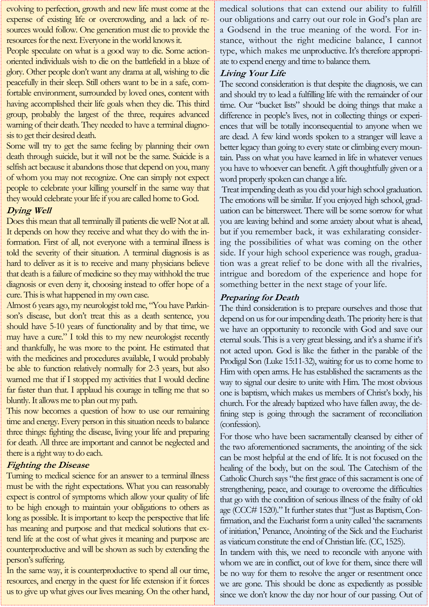evolving to perfection, growth and new life must come at the expense of existing life or overcrowding, and a lack of resources would follow. One generation must die to provide the resources for the next. Everyone in the world knows it.

People speculate on what is a good way to die. Some actionoriented individuals wish to die on the battlefield in a blaze of glory. Other people don't want any drama at all, wishing to die peacefully in their sleep. Still others want to be in a safe, comfortable environment, surrounded by loved ones, content with having accomplished their life goals when they die. This third group, probably the largest of the three, requires advanced warning of their death. They needed to have a terminal diagnosis to get their desired death.

Some will try to get the same feeling by planning their own death through suicide, but it will not be the same. Suicide is a selfish act because it abandons those that depend on you, many of whom you may not recognize. One can simply not expect people to celebrate your killing yourself in the same way that they would celebrate your life if you are called home to God.

#### **Dying Well**

Does this mean that all terminally ill patients die well? Not at all. It depends on how they receive and what they do with the information. First of all, not everyone with a terminal illness is told the severity of their situation. A terminal diagnosis is as hard to deliver as it is to receive and many physicians believe that death is a failure of medicine so they may withhold the true diagnosis or even deny it, choosing instead to offer hope of a cure. This is what happened in my own case.

Almost 6 years ago, my neurologist told me, "You have Parkinson's disease, but don't treat this as a death sentence, you should have 5-10 years of functionality and by that time, we may have a cure." I told this to my new neurologist recently and thankfully, he was more to the point. He estimated that with the medicines and procedures available, I would probably be able to function relatively normally for 2-3 years, but also warned me that if I stopped my activities that I would decline far faster than that. I applaud his courage in telling me that so bluntly. It allows me to plan out my path.

This now becomes a question of how to use our remaining time and energy. Every person in this situation needs to balance three things: fighting the disease, living your life and preparing for death. All three are important and cannot be neglected and there is a right way to do each.

#### **Fighting the Disease**

Turning to medical science for an answer to a terminal illness must be with the right expectations. What you can reasonably expect is control of symptoms which allow your quality of life to be high enough to maintain your obligations to others as long as possible. It is important to keep the perspective that life has meaning and purpose and that medical solutions that extend life at the cost of what gives it meaning and purpose are counterproductive and will be shown as such by extending the person's suffering.

In the same way, it is counterproductive to spend all our time, resources, and energy in the quest for life extension if it forces us to give up what gives our lives meaning. On the other hand, medical solutions that can extend our ability to fulfill our obligations and carry out our role in God's plan are a Godsend in the true meaning of the word. For instance, without the right medicine balance, I cannot type, which makes me unproductive. It's therefore appropriate to expend energy and time to balance them.

#### **Living Your Life**

The second consideration is that despite the diagnosis, we can and should try to lead a fulfilling life with the remainder of our time. Our "bucket lists" should be doing things that make a difference in people's lives, not in collecting things or experiences that will be totally inconsequential to anyone when we are dead. A few kind words spoken to a stranger will leave a better legacy than going to every state or climbing every mountain. Pass on what you have learned in life in whatever venues you have to whoever can benefit. A gift thoughtfully given or a word properly spoken can change a life.

Treat impending death as you did your high school graduation. The emotions will be similar. If you enjoyed high school, graduation can be bittersweet. There will be some sorrow for what you are leaving behind and some anxiety about what is ahead, but if you remember back, it was exhilarating considering the possibilities of what was coming on the other side. If your high school experience was rough, graduation was a great relief to be done with all the rivalries, intrigue and boredom of the experience and hope for something better in the next stage of your life.

#### **Preparing for Death**

The third consideration is to prepare ourselves and those that depend on us for our impending death. The priority here is that we have an opportunity to reconcile with God and save our eternal souls. This is a very great blessing, and it's a shame if it's not acted upon. God is like the father in the parable of the Prodigal Son (Luke 15:11-32), waiting for us to come home to Him with open arms. He has established the sacraments as the way to signal our desire to unite with Him. The most obvious one is baptism, which makes us members of Christ's body, his church. For the already baptized who have fallen away, the defining step is going through the sacrament of reconciliation (confession).

For those who have been sacramentally cleansed by either of the two aforementioned sacraments, the anointing of the sick can be most helpful at the end of life. It is not focused on the healing of the body, but on the soul. The Catechism of the Catholic Church says "the first grace of this sacrament is one of strengthening, peace, and courage to overcome the difficulties that go with the condition of serious illness of the frailty of old age (CCC# 1520)." It further states that "Just as Baptism, Confirmation, and the Eucharist form a unity called 'the sacraments of initiation,' Penance, Anointing of the Sick and the Eucharist as viaticum constitute the end of Christian life. (CC, 1525).

In tandem with this, we need to reconcile with anyone with whom we are in conflict, out of love for them, since there will be no way for them to resolve the anger or resentment once we are gone. This should be done as expediently as possible since we don't know the day nor hour of our passing. Out of